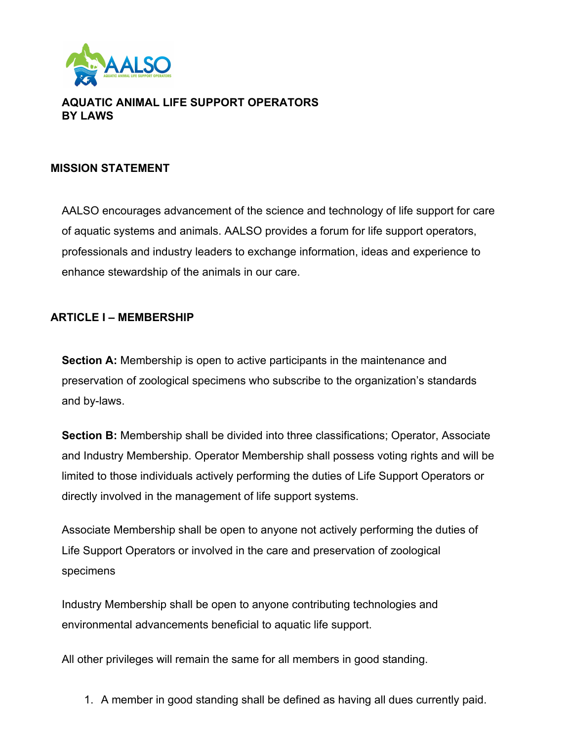

## **AQUATIC ANIMAL LIFE SUPPORT OPERATORS BY LAWS**

#### **MISSION STATEMENT**

AALSO encourages advancement of the science and technology of life support for care of aquatic systems and animals. AALSO provides a forum for life support operators, professionals and industry leaders to exchange information, ideas and experience to enhance stewardship of the animals in our care.

#### **ARTICLE I – MEMBERSHIP**

**Section A:** Membership is open to active participants in the maintenance and preservation of zoological specimens who subscribe to the organization's standards and by-laws.

**Section B:** Membership shall be divided into three classifications; Operator, Associate and Industry Membership. Operator Membership shall possess voting rights and will be limited to those individuals actively performing the duties of Life Support Operators or directly involved in the management of life support systems.

Associate Membership shall be open to anyone not actively performing the duties of Life Support Operators or involved in the care and preservation of zoological specimens

Industry Membership shall be open to anyone contributing technologies and environmental advancements beneficial to aquatic life support.

All other privileges will remain the same for all members in good standing.

1. A member in good standing shall be defined as having all dues currently paid.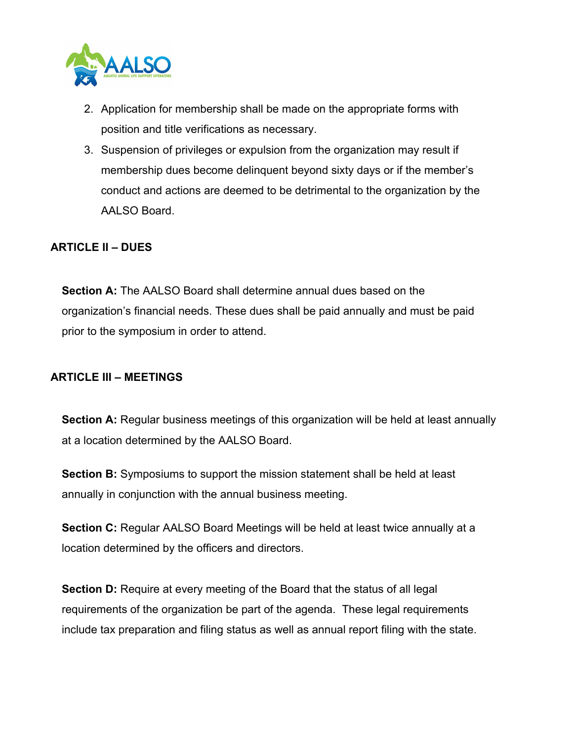

- 2. Application for membership shall be made on the appropriate forms with position and title verifications as necessary.
- 3. Suspension of privileges or expulsion from the organization may result if membership dues become delinquent beyond sixty days or if the member's conduct and actions are deemed to be detrimental to the organization by the AALSO Board.

## **ARTICLE II – DUES**

**Section A:** The AALSO Board shall determine annual dues based on the organization's financial needs. These dues shall be paid annually and must be paid prior to the symposium in order to attend.

#### **ARTICLE III – MEETINGS**

**Section A:** Regular business meetings of this organization will be held at least annually at a location determined by the AALSO Board.

**Section B:** Symposiums to support the mission statement shall be held at least annually in conjunction with the annual business meeting.

**Section C:** Regular AALSO Board Meetings will be held at least twice annually at a location determined by the officers and directors.

**Section D:** Require at every meeting of the Board that the status of all legal requirements of the organization be part of the agenda. These legal requirements include tax preparation and filing status as well as annual report filing with the state.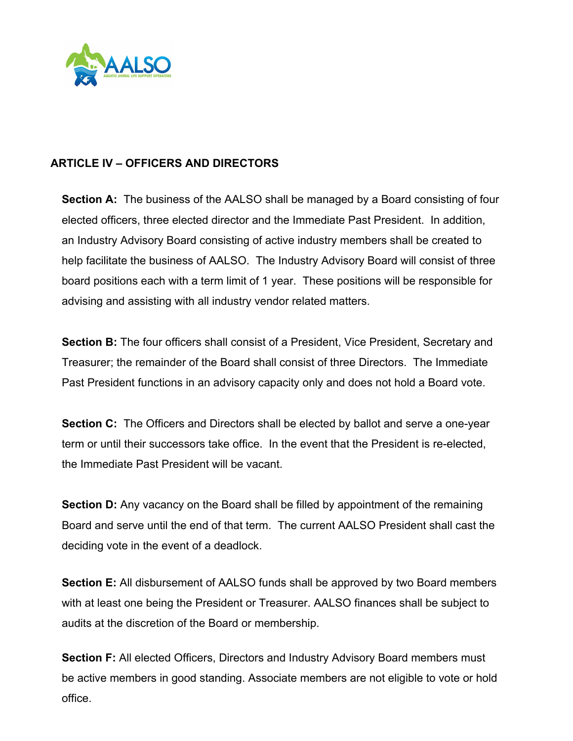

## **ARTICLE IV – OFFICERS AND DIRECTORS**

**Section A:** The business of the AALSO shall be managed by a Board consisting of four elected officers, three elected director and the Immediate Past President. In addition, an Industry Advisory Board consisting of active industry members shall be created to help facilitate the business of AALSO. The Industry Advisory Board will consist of three board positions each with a term limit of 1 year. These positions will be responsible for advising and assisting with all industry vendor related matters.

**Section B:** The four officers shall consist of a President, Vice President, Secretary and Treasurer; the remainder of the Board shall consist of three Directors. The Immediate Past President functions in an advisory capacity only and does not hold a Board vote.

**Section C:** The Officers and Directors shall be elected by ballot and serve a one-year term or until their successors take office. In the event that the President is re-elected, the Immediate Past President will be vacant.

**Section D:** Any vacancy on the Board shall be filled by appointment of the remaining Board and serve until the end of that term. The current AALSO President shall cast the deciding vote in the event of a deadlock.

**Section E:** All disbursement of AALSO funds shall be approved by two Board members with at least one being the President or Treasurer. AALSO finances shall be subject to audits at the discretion of the Board or membership.

**Section F:** All elected Officers, Directors and Industry Advisory Board members must be active members in good standing. Associate members are not eligible to vote or hold office.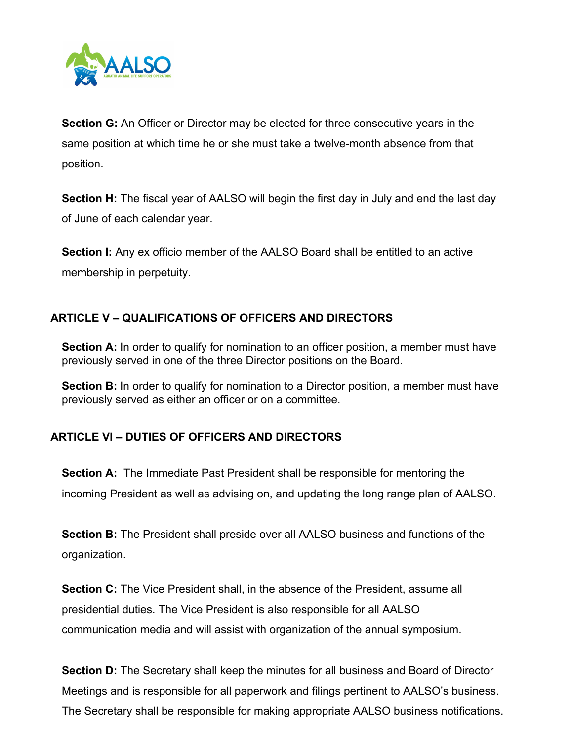

**Section G:** An Officer or Director may be elected for three consecutive years in the same position at which time he or she must take a twelve-month absence from that position.

**Section H:** The fiscal year of AALSO will begin the first day in July and end the last day of June of each calendar year.

**Section I:** Any ex officio member of the AALSO Board shall be entitled to an active membership in perpetuity.

# **ARTICLE V – QUALIFICATIONS OF OFFICERS AND DIRECTORS**

**Section A:** In order to qualify for nomination to an officer position, a member must have previously served in one of the three Director positions on the Board.

**Section B:** In order to qualify for nomination to a Director position, a member must have previously served as either an officer or on a committee.

# **ARTICLE VI – DUTIES OF OFFICERS AND DIRECTORS**

**Section A:** The Immediate Past President shall be responsible for mentoring the incoming President as well as advising on, and updating the long range plan of AALSO.

**Section B:** The President shall preside over all AALSO business and functions of the organization.

**Section C:** The Vice President shall, in the absence of the President, assume all presidential duties. The Vice President is also responsible for all AALSO communication media and will assist with organization of the annual symposium.

**Section D:** The Secretary shall keep the minutes for all business and Board of Director Meetings and is responsible for all paperwork and filings pertinent to AALSO's business. The Secretary shall be responsible for making appropriate AALSO business notifications.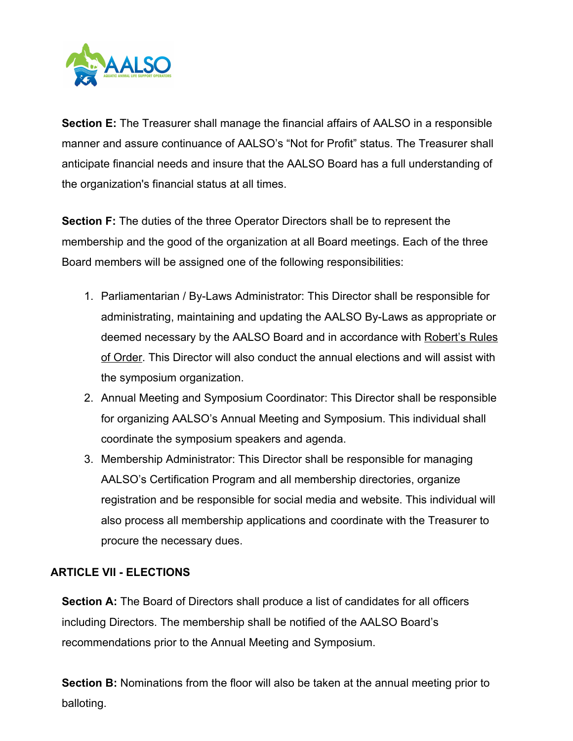

**Section E:** The Treasurer shall manage the financial affairs of AALSO in a responsible manner and assure continuance of AALSO's "Not for Profit" status. The Treasurer shall anticipate financial needs and insure that the AALSO Board has a full understanding of the organization's financial status at all times.

**Section F:** The duties of the three Operator Directors shall be to represent the membership and the good of the organization at all Board meetings. Each of the three Board members will be assigned one of the following responsibilities:

- 1. Parliamentarian / By-Laws Administrator: This Director shall be responsible for administrating, maintaining and updating the AALSO By-Laws as appropriate or deemed necessary by the AALSO Board and in accordance with Robert's Rules of Order. This Director will also conduct the annual elections and will assist with the symposium organization.
- 2. Annual Meeting and Symposium Coordinator: This Director shall be responsible for organizing AALSO's Annual Meeting and Symposium. This individual shall coordinate the symposium speakers and agenda.
- 3. Membership Administrator: This Director shall be responsible for managing AALSO's Certification Program and all membership directories, organize registration and be responsible for social media and website. This individual will also process all membership applications and coordinate with the Treasurer to procure the necessary dues.

## **ARTICLE VII - ELECTIONS**

**Section A:** The Board of Directors shall produce a list of candidates for all officers including Directors. The membership shall be notified of the AALSO Board's recommendations prior to the Annual Meeting and Symposium.

**Section B:** Nominations from the floor will also be taken at the annual meeting prior to balloting.